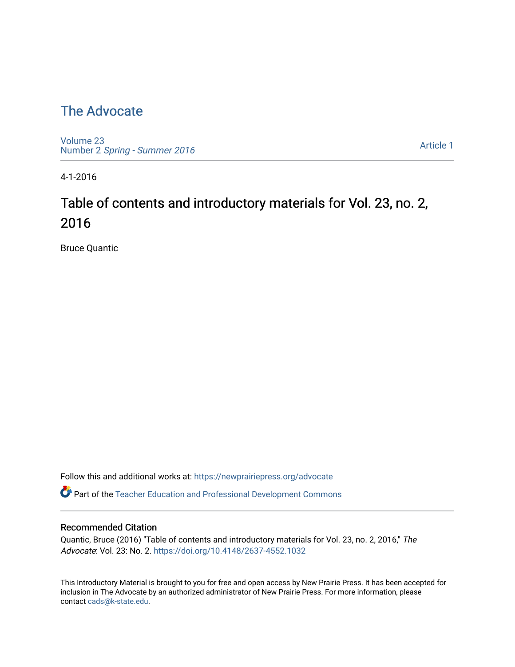## [The Advocate](https://newprairiepress.org/advocate)

[Volume 23](https://newprairiepress.org/advocate/vol23) Number 2 [Spring - Summer 2016](https://newprairiepress.org/advocate/vol23/iss2) 

[Article 1](https://newprairiepress.org/advocate/vol23/iss2/1) 

4-1-2016

# Table of contents and introductory materials for Vol. 23, no. 2, 2016

Bruce Quantic

Follow this and additional works at: [https://newprairiepress.org/advocate](https://newprairiepress.org/advocate?utm_source=newprairiepress.org%2Fadvocate%2Fvol23%2Fiss2%2F1&utm_medium=PDF&utm_campaign=PDFCoverPages) 

Part of the [Teacher Education and Professional Development Commons](http://network.bepress.com/hgg/discipline/803?utm_source=newprairiepress.org%2Fadvocate%2Fvol23%2Fiss2%2F1&utm_medium=PDF&utm_campaign=PDFCoverPages) 

#### Recommended Citation

Quantic, Bruce (2016) "Table of contents and introductory materials for Vol. 23, no. 2, 2016," The Advocate: Vol. 23: No. 2. <https://doi.org/10.4148/2637-4552.1032>

This Introductory Material is brought to you for free and open access by New Prairie Press. It has been accepted for inclusion in The Advocate by an authorized administrator of New Prairie Press. For more information, please contact [cads@k-state.edu](mailto:cads@k-state.edu).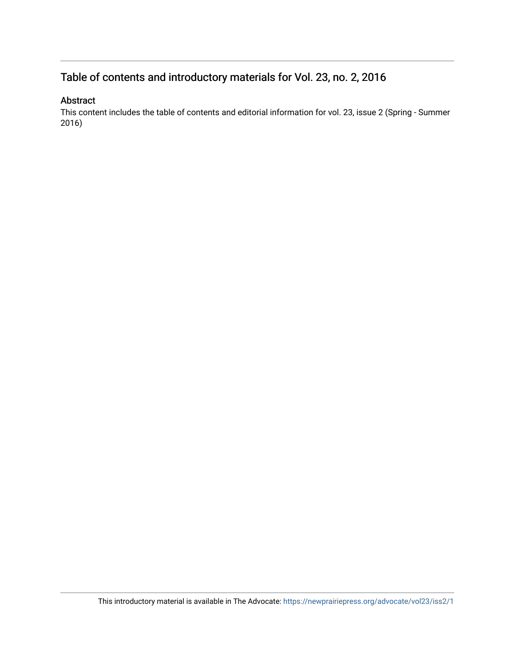## Table of contents and introductory materials for Vol. 23, no. 2, 2016

#### Abstract

This content includes the table of contents and editorial information for vol. 23, issue 2 (Spring - Summer 2016)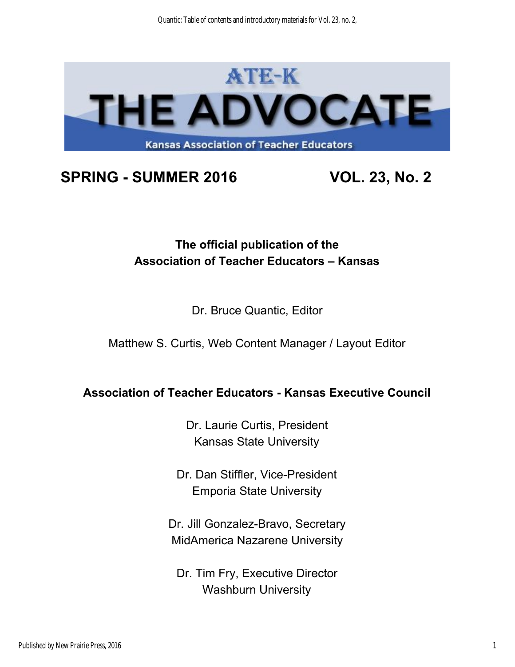

# **SPRING SUMMER 2016 VOL. 23, No. 2**

# **The official publication of the Association of Teacher Educators – Kansas**

### Dr. Bruce Quantic, Editor

Matthew S. Curtis, Web Content Manager / Layout Editor

### **Association of Teacher Educators Kansas Executive Council**

Dr. Laurie Curtis, President Kansas State University

Dr. Dan Stiffler, Vice-President Emporia State University

Dr. Jill Gonzalez-Bravo, Secretary MidAmerica Nazarene University

Dr. Tim Fry, Executive Director Washburn University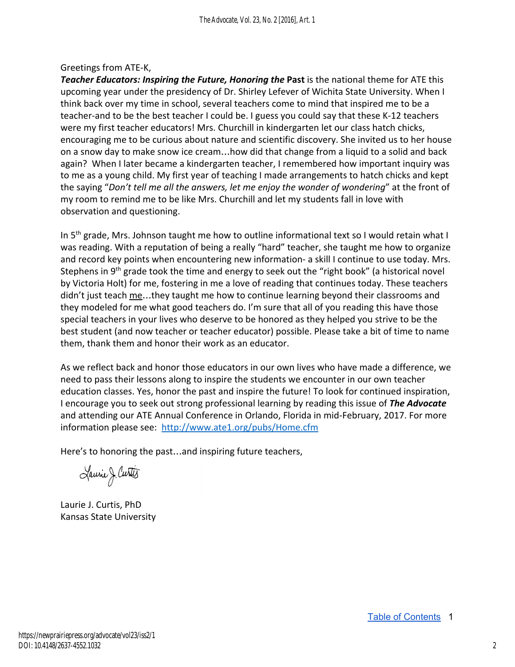#### Greetings from ATE-K,

*Teacher Educators: Inspiring the Future, Honoring the Past is the national theme for ATE this* upcoming year under the presidency of Dr. Shirley Lefever of Wichita State University. When I think back over my time in school, several teachers come to mind that inspired me to be a teacher-and to be the best teacher I could be. I guess you could say that these K-12 teachers were my first teacher educators! Mrs. Churchill in kindergarten let our class hatch chicks, encouraging me to be curious about nature and scientific discovery. She invited us to her house on a snow day to make snow ice cream…how did that change from a liquid to a solid and back again? When I later became a kindergarten teacher, I remembered how important inquiry was to me as a young child. My first year of teaching I made arrangements to hatch chicks and kept the saying "*Don't tell me all the answers, let me enjoy the wonder of wondering*" at the front of my room to remind me to be like Mrs. Churchill and let my students fall in love with observation and questioning.

In 5<sup>th</sup> grade, Mrs. Johnson taught me how to outline informational text so I would retain what I was reading. With a reputation of being a really "hard" teacher, she taught me how to organize and record key points when encountering new information- a skill I continue to use today. Mrs. Stephens in 9<sup>th</sup> grade took the time and energy to seek out the "right book" (a historical novel by Victoria Holt) for me, fostering in me a love of reading that continues today. These teachers didn't just teach me...they taught me how to continue learning beyond their classrooms and they modeled for me what good teachers do. I'm sure that all of you reading this have those special teachers in your lives who deserve to be honored as they helped you strive to be the best student (and now teacher or teacher educator) possible. Please take a bit of time to name them, thank them and honor their work as an educator.

As we reflect back and honor those educators in our own lives who have made a difference, we need to pass their lessons along to inspire the students we encounter in our own teacher education classes. Yes, honor the past and inspire the future! To look for continued inspiration, I encourage you to seek out strong professional learning by reading this issue of *The Advocate* and attending our ATE Annual Conference in Orlando, Florida in mid-February, 2017. For more information please see: http://www.ate1.org/pubs/Home.cfm

Here's to honoring the past…and inspiring future teachers,

Laurie J. Curtis

Laurie J. Curtis, PhD Kansas State University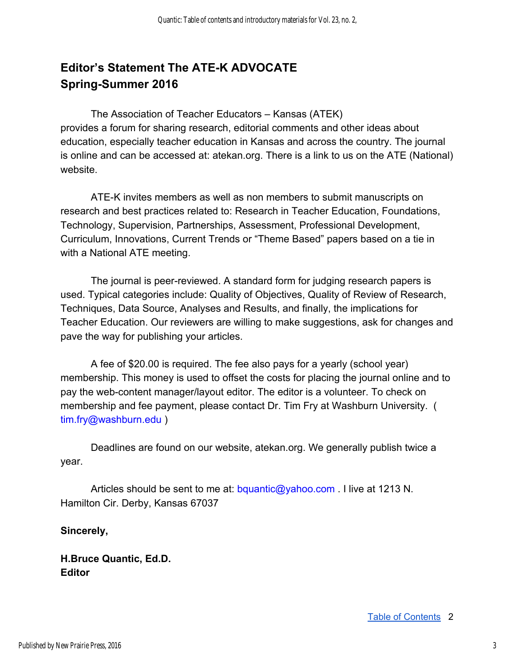## **Editor's Statement The ATE-K ADVOCATE Spring-Summer 2016**

The Association of Teacher Educators – Kansas (ATEK) provides a forum for sharing research, editorial comments and other ideas about education, especially teacher education in Kansas and across the country. The journal is online and can be accessed at: atekan.org. There is a link to us on the ATE (National) website.

ATE-K invites members as well as non members to submit manuscripts on research and best practices related to: Research in Teacher Education, Foundations, Technology, Supervision, Partnerships, Assessment, Professional Development, Curriculum, Innovations, Current Trends or "Theme Based" papers based on a tie in with a National ATE meeting.

The journal is peer-reviewed. A standard form for judging research papers is used. Typical categories include: Quality of Objectives, Quality of Review of Research, Techniques, Data Source, Analyses and Results, and finally, the implications for Teacher Education. Our reviewers are willing to make suggestions, ask for changes and pave the way for publishing your articles.

A fee of \$20.00 is required. The fee also pays for a yearly (school year) membership. This money is used to offset the costs for placing the journal online and to pay the web-content manager/layout editor. The editor is a volunteer. To check on membership and fee payment, please contact Dr. Tim Fry at Washburn University. ( tim.fry@washburn.edu )

Deadlines are found on our website, atekan.org. We generally publish twice a year.

Articles should be sent to me at: bquantic@yahoo.com . I live at 1213 N. Hamilton Cir. Derby, Kansas 67037

#### **Sincerely,**

**H.Bruce Quantic, Ed.D. Editor**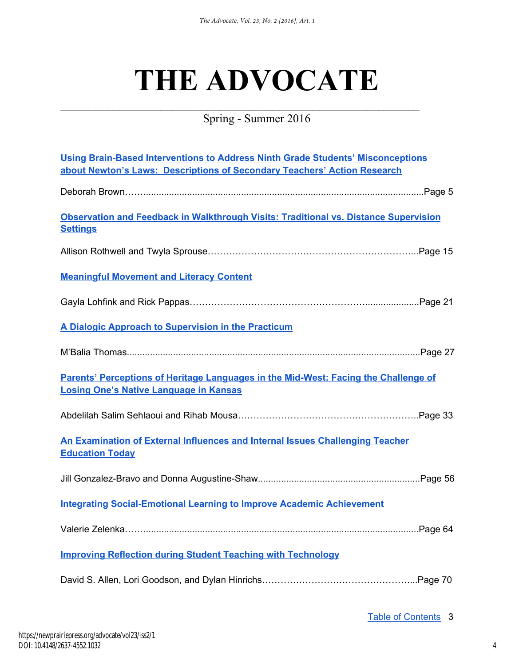# **THE ADVOCATE**

Spring - Summer 2016

 $\mathcal{L}_\text{max}$  , and the contract of the contract of the contract of the contract of the contract of the contract of the contract of the contract of the contract of the contract of the contract of the contract of the contr

| <b>Using Brain-Based Interventions to Address Ninth Grade Students' Misconceptions</b><br>about Newton's Laws: Descriptions of Secondary Teachers' Action Research |  |
|--------------------------------------------------------------------------------------------------------------------------------------------------------------------|--|
|                                                                                                                                                                    |  |
| Observation and Feedback in Walkthrough Visits: Traditional vs. Distance Supervision<br><b>Settings</b>                                                            |  |
|                                                                                                                                                                    |  |
| <b>Meaningful Movement and Literacy Content</b>                                                                                                                    |  |
|                                                                                                                                                                    |  |
| A Dialogic Approach to Supervision in the Practicum                                                                                                                |  |
|                                                                                                                                                                    |  |
| Parents' Perceptions of Heritage Languages in the Mid-West: Facing the Challenge of<br><b>Losing One's Native Language in Kansas</b>                               |  |
|                                                                                                                                                                    |  |
| An Examination of External Influences and Internal Issues Challenging Teacher<br><b>Education Today</b>                                                            |  |
|                                                                                                                                                                    |  |
| <b>Integrating Social-Emotional Learning to Improve Academic Achievement</b>                                                                                       |  |
|                                                                                                                                                                    |  |
| <b>Improving Reflection during Student Teaching with Technology</b>                                                                                                |  |
|                                                                                                                                                                    |  |